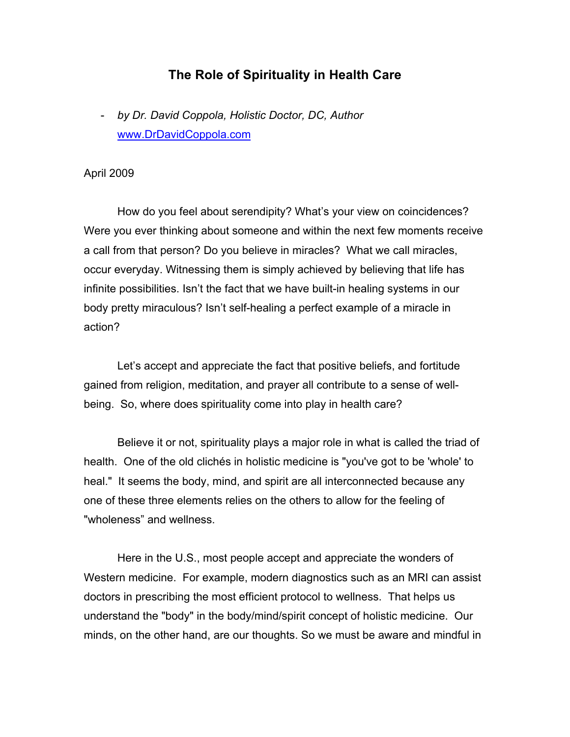## **The Role of Spirituality in Health Care**

- *by Dr. David Coppola, Holistic Doctor, DC, Author* www.DrDavidCoppola.com

## April 2009

How do you feel about serendipity? What's your view on coincidences? Were you ever thinking about someone and within the next few moments receive a call from that person? Do you believe in miracles? What we call miracles, occur everyday. Witnessing them is simply achieved by believing that life has infinite possibilities. Isn't the fact that we have built-in healing systems in our body pretty miraculous? Isn't self-healing a perfect example of a miracle in action?

Let's accept and appreciate the fact that positive beliefs, and fortitude gained from religion, meditation, and prayer all contribute to a sense of wellbeing. So, where does spirituality come into play in health care?

Believe it or not, spirituality plays a major role in what is called the triad of health. One of the old clichés in holistic medicine is "you've got to be 'whole' to heal." It seems the body, mind, and spirit are all interconnected because any one of these three elements relies on the others to allow for the feeling of "wholeness" and wellness.

Here in the U.S., most people accept and appreciate the wonders of Western medicine. For example, modern diagnostics such as an MRI can assist doctors in prescribing the most efficient protocol to wellness. That helps us understand the "body" in the body/mind/spirit concept of holistic medicine. Our minds, on the other hand, are our thoughts. So we must be aware and mindful in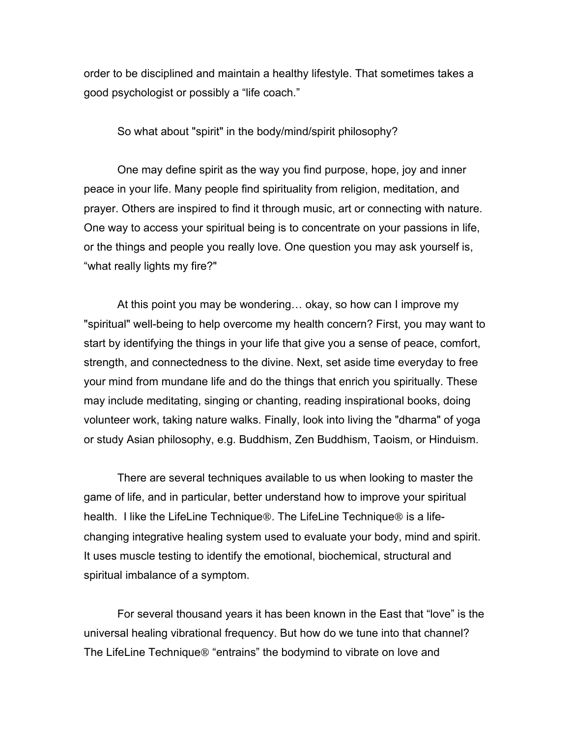order to be disciplined and maintain a healthy lifestyle. That sometimes takes a good psychologist or possibly a "life coach."

So what about "spirit" in the body/mind/spirit philosophy?

One may define spirit as the way you find purpose, hope, joy and inner peace in your life. Many people find spirituality from religion, meditation, and prayer. Others are inspired to find it through music, art or connecting with nature. One way to access your spiritual being is to concentrate on your passions in life, or the things and people you really love. One question you may ask yourself is, "what really lights my fire?"

At this point you may be wondering… okay, so how can I improve my "spiritual" well-being to help overcome my health concern? First, you may want to start by identifying the things in your life that give you a sense of peace, comfort, strength, and connectedness to the divine. Next, set aside time everyday to free your mind from mundane life and do the things that enrich you spiritually. These may include meditating, singing or chanting, reading inspirational books, doing volunteer work, taking nature walks. Finally, look into living the "dharma" of yoga or study Asian philosophy, e.g. Buddhism, Zen Buddhism, Taoism, or Hinduism.

There are several techniques available to us when looking to master the game of life, and in particular, better understand how to improve your spiritual health. I like the LifeLine Technique<sup>®</sup>. The LifeLine Technique<sup>®</sup> is a lifechanging integrative healing system used to evaluate your body, mind and spirit. It uses muscle testing to identify the emotional, biochemical, structural and spiritual imbalance of a symptom.

For several thousand years it has been known in the East that "love" is the universal healing vibrational frequency. But how do we tune into that channel? The LifeLine Technique<sup>®</sup> "entrains" the bodymind to vibrate on love and